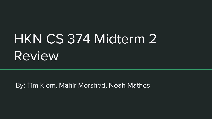# HKN CS 374 Midterm 2 Review

By: Tim Klem, Mahir Morshed, Noah Mathes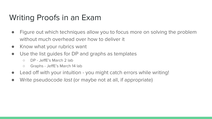# Writing Proofs in an Exam

- Figure out which techniques allow you to focus more on solving the problem without much overhead over how to deliver it
- Know what your rubrics want
- Use the list guides for DP and graphs as templates
	- DP JeffE's March 2 lab
	- Graphs JeffE's March 14 lab
- Lead off with your intuition you might catch errors while writing!
- Write pseudocode *last* (or maybe not at all, if appropriate)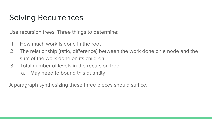# Solving Recurrences

Use recursion trees! Three things to determine:

- 1. How much work is done in the root
- 2. The relationship (ratio, difference) between the work done on a node and the sum of the work done on its children
- 3. Total number of levels in the recursion tree
	- a. May need to bound this quantity

A paragraph synthesizing these three pieces should suffice.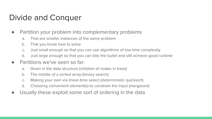# Divide and Conquer

- Partition your problem into complementary problems
	- a. That are smaller instances of the same problem
	- b. That you know how to solve
	- c. Just small enough so that you can use algorithms of low time complexity
	- d. Just large enough so that you can bite the bullet and still achieve good runtime
- Partitions we've seen so far:
	- a. Given in the data structure (children of nodes in trees)
	- b. The middle of a sorted array (binary search)
	- c. Making your own via linear-time select (deterministic quicksort)
	- d. Choosing convenient element(s) to constrain the input (mergesort)
- Usually these exploit some sort of ordering in the data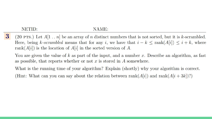#### NAME:

 $3\phantom{.}$ (20 PTS.) Let  $A[1, n]$  be an array of n distinct numbers that is not sorted, but it is k-scrambled. Here, being k-scrambled means that for any i, we have that  $i - k \leq \text{rank}(A[i]) \leq i + k$ , where rank $(A[i])$  is the location of  $A[i]$  in the sorted version of A.

You are given the value of k as part of the input, and a number x. Describe an algorithm, as fast as possible, that reports whether or not  $x$  is stored in  $A$  somewhere.

What is the running time of your algorithm? Explain (shortly) why your algorithm is correct. (Hint: What can you can say about the relation between  $rank(A[i])$  and  $rank(A[i+3k])$ ?)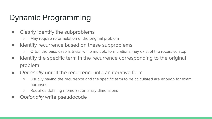# Dynamic Programming

- Clearly identify the subproblems
	- May require reformulation of the original problem
- Identify recurrence based on these subproblems
	- Often the base case is trivial while multiple formulations may exist of the recursive step
- Identify the specific term in the recurrence corresponding to the original problem
- Optionally unroll the recurrence into an iterative form
	- Usually having the recurrence and the specific term to be calculated are enough for exam purposes
	- Requires defining memoization array dimensions
- Optionally write pseudocode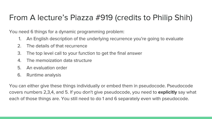# From A lecture's Piazza #919 (credits to Philip Shih)

You need 6 things for a dynamic programming problem:

- 1. An English description of the underlying recurrence you're going to evaluate
- 2. The details of that recurrence
- 3. The top level call to your function to get the final answer
- 4. The memoization data structure
- 5. An evaluation order
- 6. Runtime analysis

You can either give these things individually or embed them in pseudocode. Pseudocode covers numbers 2,3,4, and 5. If you don't give pseudocode, you need to **explicitly** say what each of those things are. You still need to do 1 and 6 separately even with pseudocode.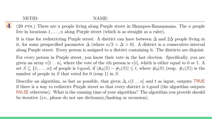### NAME:

(20 PTS.) There are *n* people living along Purple street in Shampoo-Banananana. The *n* people live in locations  $1, \ldots, n$  along Purple street (which is as straight as a ruler),

It is time for redistricting Purple street. A district can have between  $\Delta$  and  $2\Delta$  people living in it, for some prespecified parameter  $\Delta$  (where  $n/3 > \Delta > 0$ ). A district is a consecutive interval along Purple street. Every person is assigned to a district containing it. The districts are disjoint.

For every person in Purple street, you know their vote in the last election. Specifically, you are given an array  $v[1..n]$ , where the vote of the *i*th person is  $v[i]$ , which is either equal to 0 or 1. A set  $S \subseteq \{1,\ldots,n\}$  of people is t-good, if  $|\#_0(S) - \#_1(S)| \leq t$ , where  $\#_0(S)$  (resp.  $\#_1(S)$ ) is the number of people in S that voted for 0 (resp 1) in S.

Describe an algorithm, as fast as possible, that given  $\Delta$ ,  $v[1 \dots n]$  and t as input, outputs TRUE if there is a way to redistrict Purple street so that every district is  $t$ -good (the algorithm outputs **FALSE** otherwise). What is the running time of your algorithm? The algorithm you provide should be iterative (i.e., please do not use dictionary/hashing or recursion).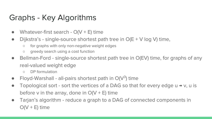### Graphs - Key Algorithms

- Whatever-first search  $O(V + E)$  time
- Dijkstra's single-source shortest path tree in  $O(E + V \log V)$  time,
	- for graphs with only non-negative weight edges
	- greedy search using a cost function
- Bellman-Ford single-source shortest path tree in O(EV) time, for graphs of any real-valued weight edge
	- DP formulation
- Floyd-Warshall all-pairs shortest path in  $O(V^3)$  time
- Topological sort sort the vertices of a DAG so that for every edge  $u \rightarrow v$ ,  $u$  is before v in the array, done in  $O(V + E)$  time
- Tarjan's algorithm reduce a graph to a DAG of connected components in  $O(V + E)$  time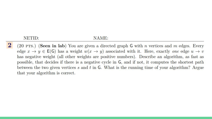#### NAME:

(20 PTS.) (Seen in lab) You are given a directed graph G with n vertices and m edges. Every edge  $x \to y \in E(G)$  has a weight  $w(x \to y)$  associated with it. Here, exactly one edge  $u \to v$ has negative weight (all other weights are positive numbers). Describe an algorithm, as fast as possible, that decides if there is a negative cycle in G, and if not, it computes the shortest path between the two given vertices  $s$  and  $t$  in  $\mathsf{G}$ . What is the running time of your algorithm? Argue that your algorithm is correct.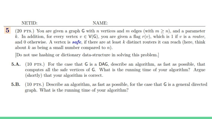#### NAME:

 $5<sup>5</sup>$ (20 PTS.) You are given a graph G with n vertices and m edges (with  $m \ge n$ ), and a parameter k. In addition, for every vertex  $v \in V(G)$ , you are given a flag  $r(v)$ , which is 1 if v is a router, and 0 otherwise. A vertex is **safe**, if there are at least k distinct routers it can reach (here, think about  $k$  as being a small number compared to  $n$ ).

Do not use hashing or dictionary data-structure in solving this problem.

- $5.A.$ (10 PTS.) For the case that G is a DAG, describe an algorithm, as fast as possible, that computes all the safe vertices of G. What is the running time of your algorithm? Argue (shortly) that your algorithm is correct.
- $(10 \text{ PTS.})$  Describe an algorithm, as fast as possible, for the case that G is a general directed 5.B. graph. What is the running time of your algorithm?